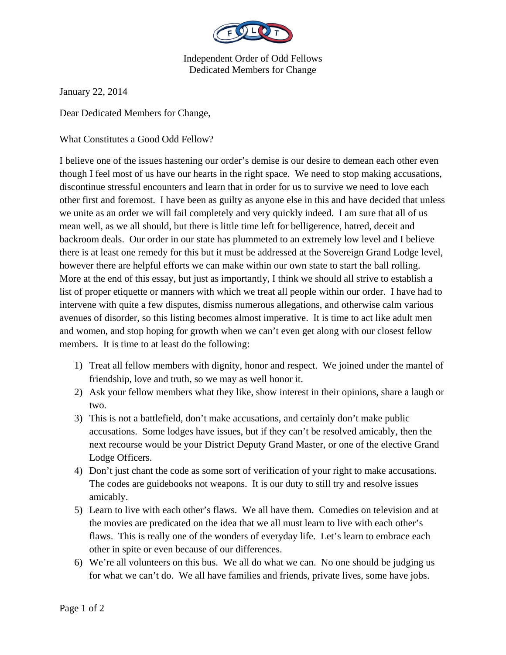

## Independent Order of Odd Fellows Dedicated Members for Change

January 22, 2014

Dear Dedicated Members for Change,

What Constitutes a Good Odd Fellow?

I believe one of the issues hastening our order's demise is our desire to demean each other even though I feel most of us have our hearts in the right space. We need to stop making accusations, discontinue stressful encounters and learn that in order for us to survive we need to love each other first and foremost. I have been as guilty as anyone else in this and have decided that unless we unite as an order we will fail completely and very quickly indeed. I am sure that all of us mean well, as we all should, but there is little time left for belligerence, hatred, deceit and backroom deals. Our order in our state has plummeted to an extremely low level and I believe there is at least one remedy for this but it must be addressed at the Sovereign Grand Lodge level, however there are helpful efforts we can make within our own state to start the ball rolling. More at the end of this essay, but just as importantly, I think we should all strive to establish a list of proper etiquette or manners with which we treat all people within our order. I have had to intervene with quite a few disputes, dismiss numerous allegations, and otherwise calm various avenues of disorder, so this listing becomes almost imperative. It is time to act like adult men and women, and stop hoping for growth when we can't even get along with our closest fellow members. It is time to at least do the following:

- 1) Treat all fellow members with dignity, honor and respect. We joined under the mantel of friendship, love and truth, so we may as well honor it.
- 2) Ask your fellow members what they like, show interest in their opinions, share a laugh or two.
- 3) This is not a battlefield, don't make accusations, and certainly don't make public accusations. Some lodges have issues, but if they can't be resolved amicably, then the next recourse would be your District Deputy Grand Master, or one of the elective Grand Lodge Officers.
- 4) Don't just chant the code as some sort of verification of your right to make accusations. The codes are guidebooks not weapons. It is our duty to still try and resolve issues amicably.
- 5) Learn to live with each other's flaws. We all have them. Comedies on television and at the movies are predicated on the idea that we all must learn to live with each other's flaws. This is really one of the wonders of everyday life. Let's learn to embrace each other in spite or even because of our differences.
- 6) We're all volunteers on this bus. We all do what we can. No one should be judging us for what we can't do. We all have families and friends, private lives, some have jobs.